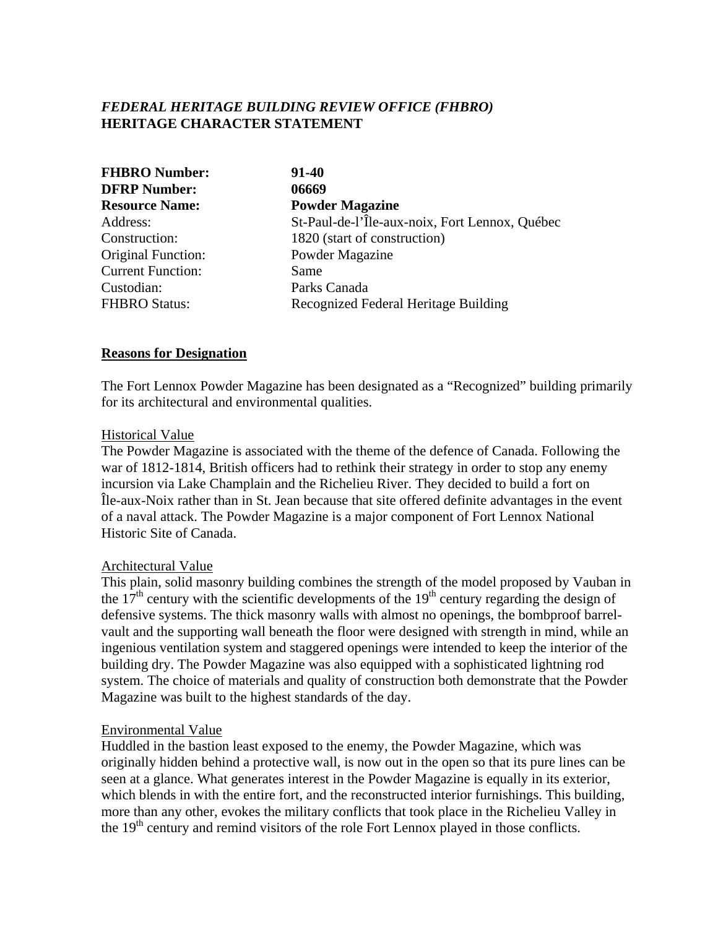# *FEDERAL HERITAGE BUILDING REVIEW OFFICE (FHBRO)* **HERITAGE CHARACTER STATEMENT**

| <b>FHBRO Number:</b><br><b>DFRP Number:</b><br><b>Resource Name:</b> | 91-40<br>06669<br><b>Powder Magazine</b> |               |                                                |
|----------------------------------------------------------------------|------------------------------------------|---------------|------------------------------------------------|
|                                                                      |                                          | Address:      | St-Paul-de-l'Île-aux-noix, Fort Lennox, Québec |
|                                                                      |                                          | Construction: | 1820 (start of construction)                   |
| <b>Original Function:</b>                                            | Powder Magazine                          |               |                                                |
| <b>Current Function:</b>                                             | Same                                     |               |                                                |
| Custodian:                                                           | Parks Canada                             |               |                                                |
| <b>FHBRO Status:</b>                                                 | Recognized Federal Heritage Building     |               |                                                |

#### **Reasons for Designation**

The Fort Lennox Powder Magazine has been designated as a "Recognized" building primarily for its architectural and environmental qualities.

#### Historical Value

The Powder Magazine is associated with the theme of the defence of Canada. Following the war of 1812-1814, British officers had to rethink their strategy in order to stop any enemy incursion via Lake Champlain and the Richelieu River. They decided to build a fort on Île-aux-Noix rather than in St. Jean because that site offered definite advantages in the event of a naval attack. The Powder Magazine is a major component of Fort Lennox National Historic Site of Canada.

## Architectural Value

This plain, solid masonry building combines the strength of the model proposed by Vauban in the  $17<sup>th</sup>$  century with the scientific developments of the  $19<sup>th</sup>$  century regarding the design of defensive systems. The thick masonry walls with almost no openings, the bombproof barrelvault and the supporting wall beneath the floor were designed with strength in mind, while an ingenious ventilation system and staggered openings were intended to keep the interior of the building dry. The Powder Magazine was also equipped with a sophisticated lightning rod system. The choice of materials and quality of construction both demonstrate that the Powder Magazine was built to the highest standards of the day.

## Environmental Value

Huddled in the bastion least exposed to the enemy, the Powder Magazine, which was originally hidden behind a protective wall, is now out in the open so that its pure lines can be seen at a glance. What generates interest in the Powder Magazine is equally in its exterior, which blends in with the entire fort, and the reconstructed interior furnishings. This building, more than any other, evokes the military conflicts that took place in the Richelieu Valley in the 19<sup>th</sup> century and remind visitors of the role Fort Lennox played in those conflicts.